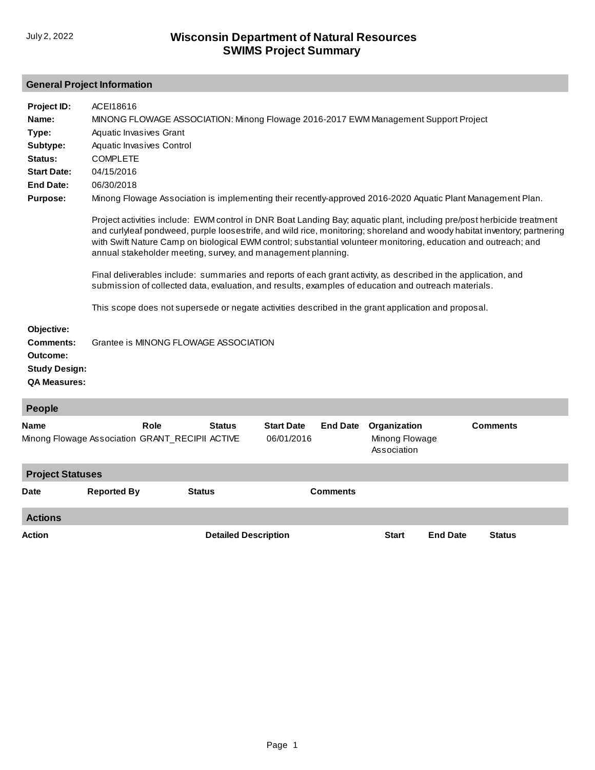#### **General Project Information**

| Project ID:<br>Name:<br>Type:<br>Subtype:<br>Status:<br><b>Start Date:</b><br><b>End Date:</b><br><b>Purpose:</b> | ACEI18616<br>MINONG FLOWAGE ASSOCIATION: Minong Flowage 2016-2017 EWM Management Support Project<br>Aquatic Invasives Grant<br>Aquatic Invasives Control<br><b>COMPLETE</b><br>04/15/2016<br>06/30/2018<br>Minong Flowage Association is implementing their recently-approved 2016-2020 Aquatic Plant Management Plan.<br>Project activities include: EWM control in DNR Boat Landing Bay; aquatic plant, including pre/post herbicide treatment<br>and curlyleaf pondweed, purple loosestrife, and wild rice, monitoring; shoreland and woody habitat inventory; partnering<br>with Swift Nature Camp on biological EWM control; substantial volunteer monitoring, education and outreach; and<br>annual stakeholder meeting, survey, and management planning.<br>Final deliverables include: summaries and reports of each grant activity, as described in the application, and<br>submission of collected data, evaluation, and results, examples of education and outreach materials.<br>This scope does not supersede or negate activities described in the grant application and proposal. |                             |                                 |                 |                                               |                 |                 |  |
|-------------------------------------------------------------------------------------------------------------------|--------------------------------------------------------------------------------------------------------------------------------------------------------------------------------------------------------------------------------------------------------------------------------------------------------------------------------------------------------------------------------------------------------------------------------------------------------------------------------------------------------------------------------------------------------------------------------------------------------------------------------------------------------------------------------------------------------------------------------------------------------------------------------------------------------------------------------------------------------------------------------------------------------------------------------------------------------------------------------------------------------------------------------------------------------------------------------------------------|-----------------------------|---------------------------------|-----------------|-----------------------------------------------|-----------------|-----------------|--|
| Objective:<br>Comments:<br>Outcome:<br><b>Study Design:</b><br><b>QA Measures:</b>                                | Grantee is MINONG FLOWAGE ASSOCIATION                                                                                                                                                                                                                                                                                                                                                                                                                                                                                                                                                                                                                                                                                                                                                                                                                                                                                                                                                                                                                                                            |                             |                                 |                 |                                               |                 |                 |  |
| People                                                                                                            |                                                                                                                                                                                                                                                                                                                                                                                                                                                                                                                                                                                                                                                                                                                                                                                                                                                                                                                                                                                                                                                                                                  |                             |                                 |                 |                                               |                 |                 |  |
| <b>Name</b>                                                                                                       | Role<br>Minong Flowage Association GRANT_RECIPII ACTIVE                                                                                                                                                                                                                                                                                                                                                                                                                                                                                                                                                                                                                                                                                                                                                                                                                                                                                                                                                                                                                                          | <b>Status</b>               | <b>Start Date</b><br>06/01/2016 | <b>End Date</b> | Organization<br>Minong Flowage<br>Association |                 | <b>Comments</b> |  |
| <b>Project Statuses</b>                                                                                           |                                                                                                                                                                                                                                                                                                                                                                                                                                                                                                                                                                                                                                                                                                                                                                                                                                                                                                                                                                                                                                                                                                  |                             |                                 |                 |                                               |                 |                 |  |
| Date                                                                                                              | <b>Reported By</b>                                                                                                                                                                                                                                                                                                                                                                                                                                                                                                                                                                                                                                                                                                                                                                                                                                                                                                                                                                                                                                                                               | <b>Status</b>               |                                 | <b>Comments</b> |                                               |                 |                 |  |
| <b>Actions</b>                                                                                                    |                                                                                                                                                                                                                                                                                                                                                                                                                                                                                                                                                                                                                                                                                                                                                                                                                                                                                                                                                                                                                                                                                                  |                             |                                 |                 |                                               |                 |                 |  |
| Action                                                                                                            |                                                                                                                                                                                                                                                                                                                                                                                                                                                                                                                                                                                                                                                                                                                                                                                                                                                                                                                                                                                                                                                                                                  | <b>Detailed Description</b> |                                 |                 | <b>Start</b>                                  | <b>End Date</b> | <b>Status</b>   |  |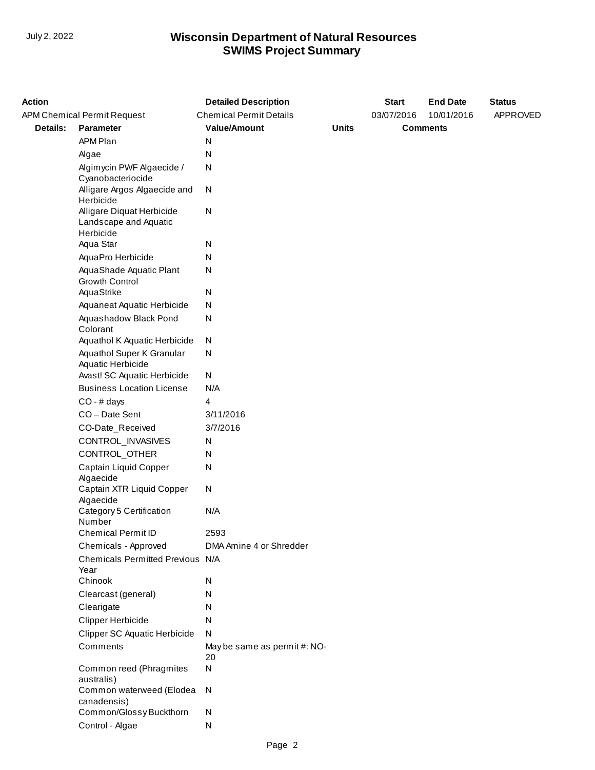| <b>Action</b> |                                                                 | <b>Detailed Description</b>        |              | <b>Start</b> | <b>End Date</b> | <b>Status</b> |
|---------------|-----------------------------------------------------------------|------------------------------------|--------------|--------------|-----------------|---------------|
|               | APM Chemical Permit Request                                     | <b>Chemical Permit Details</b>     |              | 03/07/2016   | 10/01/2016      | APPROVED      |
| Details:      | Parameter                                                       | <b>Value/Amount</b>                | <b>Units</b> |              | <b>Comments</b> |               |
|               | APM Plan                                                        | N                                  |              |              |                 |               |
|               | Algae                                                           | N                                  |              |              |                 |               |
|               | Algimycin PWF Algaecide /<br>Cyanobacteriocide                  | N                                  |              |              |                 |               |
|               | Alligare Argos Algaecide and<br>Herbicide                       | N                                  |              |              |                 |               |
|               | Alligare Diquat Herbicide<br>Landscape and Aquatic<br>Herbicide | N                                  |              |              |                 |               |
|               | Aqua Star                                                       | N                                  |              |              |                 |               |
|               | AquaPro Herbicide                                               | N                                  |              |              |                 |               |
|               | AquaShade Aquatic Plant<br><b>Growth Control</b>                | N                                  |              |              |                 |               |
|               | AquaStrike                                                      | N                                  |              |              |                 |               |
|               | Aquaneat Aquatic Herbicide                                      | N                                  |              |              |                 |               |
|               | Aquashadow Black Pond<br>Colorant                               | N                                  |              |              |                 |               |
|               | Aquathol K Aquatic Herbicide                                    | N                                  |              |              |                 |               |
|               | Aquathol Super K Granular<br>Aquatic Herbicide                  | N                                  |              |              |                 |               |
|               | Avast! SC Aquatic Herbicide                                     | ${\sf N}$                          |              |              |                 |               |
|               | <b>Business Location License</b>                                | N/A                                |              |              |                 |               |
|               | $CO - #$ days                                                   | 4                                  |              |              |                 |               |
|               | CO-Date Sent                                                    | 3/11/2016                          |              |              |                 |               |
|               | CO-Date_Received                                                | 3/7/2016                           |              |              |                 |               |
|               | CONTROL_INVASIVES                                               | N                                  |              |              |                 |               |
|               | CONTROL_OTHER                                                   | N                                  |              |              |                 |               |
|               | Captain Liquid Copper<br>Algaecide                              | N                                  |              |              |                 |               |
|               | Captain XTR Liquid Copper<br>Algaecide                          | ${\sf N}$                          |              |              |                 |               |
|               | Category 5 Certification<br>Number                              | N/A                                |              |              |                 |               |
|               | Chemical Permit ID                                              | 2593                               |              |              |                 |               |
|               | Chemicals - Approved                                            | DMA Amine 4 or Shredder            |              |              |                 |               |
|               | Chemicals Permitted Previous N/A<br>Year                        |                                    |              |              |                 |               |
|               | Chinook                                                         | N                                  |              |              |                 |               |
|               | Clearcast (general)                                             | N                                  |              |              |                 |               |
|               | Clearigate                                                      | N                                  |              |              |                 |               |
|               | <b>Clipper Herbicide</b>                                        | N                                  |              |              |                 |               |
|               | <b>Clipper SC Aquatic Herbicide</b>                             | N                                  |              |              |                 |               |
|               | Comments                                                        | May be same as permit #: NO-<br>20 |              |              |                 |               |
|               | Common reed (Phragmites<br>australis)                           | $\mathsf{N}$                       |              |              |                 |               |
|               | Common waterweed (Elodea<br>canadensis)                         | N                                  |              |              |                 |               |
|               | Common/Glossy Buckthorn                                         | N                                  |              |              |                 |               |
|               | Control - Algae                                                 | N                                  |              |              |                 |               |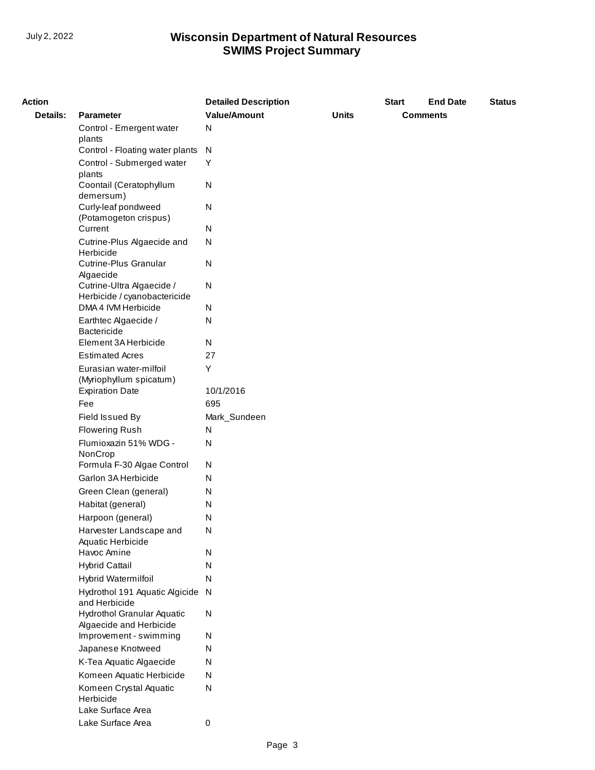| <b>Action</b> |                                                           | <b>Detailed Description</b> |              | <b>Start</b> | <b>End Date</b> | <b>Status</b> |
|---------------|-----------------------------------------------------------|-----------------------------|--------------|--------------|-----------------|---------------|
| Details:      | <b>Parameter</b>                                          | <b>Value/Amount</b>         | <b>Units</b> |              | <b>Comments</b> |               |
|               | Control - Emergent water                                  | N                           |              |              |                 |               |
|               | plants                                                    |                             |              |              |                 |               |
|               | Control - Floating water plants                           | N                           |              |              |                 |               |
|               | Control - Submerged water<br>plants                       | Υ                           |              |              |                 |               |
|               | Coontail (Ceratophyllum<br>demersum)                      | ${\sf N}$                   |              |              |                 |               |
|               | Curly-leaf pondweed<br>(Potamogeton crispus)              | N                           |              |              |                 |               |
|               | Current                                                   | ${\sf N}$                   |              |              |                 |               |
|               | Cutrine-Plus Algaecide and<br>Herbicide                   | N                           |              |              |                 |               |
|               | <b>Cutrine-Plus Granular</b><br>Algaecide                 | ${\sf N}$                   |              |              |                 |               |
|               | Cutrine-Ultra Algaecide /<br>Herbicide / cyanobactericide | ${\sf N}$                   |              |              |                 |               |
|               | DMA 4 IVM Herbicide                                       | N                           |              |              |                 |               |
|               | Earthtec Algaecide /<br>Bactericide                       | N                           |              |              |                 |               |
|               | Element 3A Herbicide                                      | N                           |              |              |                 |               |
|               | <b>Estimated Acres</b>                                    | 27                          |              |              |                 |               |
|               | Eurasian water-milfoil<br>(Myriophyllum spicatum)         | Υ                           |              |              |                 |               |
|               | <b>Expiration Date</b>                                    | 10/1/2016                   |              |              |                 |               |
|               | Fee                                                       | 695                         |              |              |                 |               |
|               | Field Issued By                                           | Mark_Sundeen                |              |              |                 |               |
|               | <b>Flowering Rush</b>                                     | N                           |              |              |                 |               |
|               | Flumioxazin 51% WDG -<br>NonCrop                          | ${\sf N}$                   |              |              |                 |               |
|               | Formula F-30 Algae Control                                | N                           |              |              |                 |               |
|               | Garlon 3A Herbicide                                       | N                           |              |              |                 |               |
|               | Green Clean (general)                                     | N                           |              |              |                 |               |
|               | Habitat (general)                                         | N                           |              |              |                 |               |
|               | Harpoon (general)                                         | N                           |              |              |                 |               |
|               | Harvester Landscape and<br>Aquatic Herbicide              | N.                          |              |              |                 |               |
|               | Havoc Amine                                               | N                           |              |              |                 |               |
|               | <b>Hybrid Cattail</b>                                     | N                           |              |              |                 |               |
|               | Hybrid Watermilfoil                                       | N                           |              |              |                 |               |
|               | Hydrothol 191 Aquatic Algicide<br>and Herbicide           | N                           |              |              |                 |               |
|               | Hydrothol Granular Aquatic<br>Algaecide and Herbicide     | ${\sf N}$                   |              |              |                 |               |
|               | Improvement - swimming                                    | N                           |              |              |                 |               |
|               | Japanese Knotweed                                         | N                           |              |              |                 |               |
|               | K-Tea Aquatic Algaecide                                   | N                           |              |              |                 |               |
|               | Komeen Aquatic Herbicide                                  | N                           |              |              |                 |               |
|               | Komeen Crystal Aquatic<br>Herbicide<br>Lake Surface Area  | ${\sf N}$                   |              |              |                 |               |
|               | Lake Surface Area                                         | 0                           |              |              |                 |               |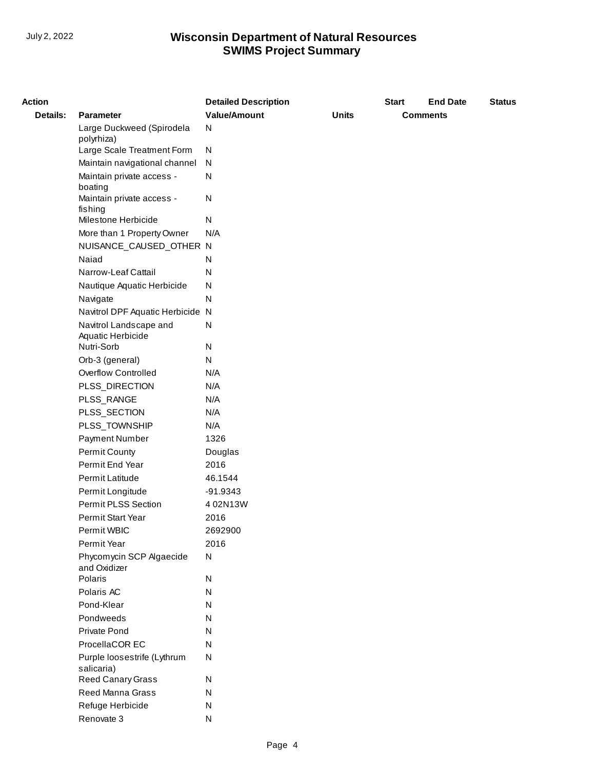| <b>Action</b>   |                                             | <b>Detailed Description</b> |              | <b>Start</b> | <b>End Date</b> | <b>Status</b> |
|-----------------|---------------------------------------------|-----------------------------|--------------|--------------|-----------------|---------------|
| <b>Details:</b> | <b>Parameter</b>                            | <b>Value/Amount</b>         | <b>Units</b> |              | <b>Comments</b> |               |
|                 | Large Duckweed (Spirodela<br>polyrhiza)     | ${\sf N}$                   |              |              |                 |               |
|                 | Large Scale Treatment Form                  | N                           |              |              |                 |               |
|                 | Maintain navigational channel               | N                           |              |              |                 |               |
|                 | Maintain private access -<br>boating        | N                           |              |              |                 |               |
|                 | Maintain private access -<br>fishing        | N                           |              |              |                 |               |
|                 | Milestone Herbicide                         | N                           |              |              |                 |               |
|                 | More than 1 Property Owner                  | N/A                         |              |              |                 |               |
|                 | NUISANCE_CAUSED_OTHER N                     |                             |              |              |                 |               |
|                 | Naiad                                       | N                           |              |              |                 |               |
|                 | Narrow-Leaf Cattail                         | N                           |              |              |                 |               |
|                 | Nautique Aquatic Herbicide                  | N                           |              |              |                 |               |
|                 | Navigate                                    | N                           |              |              |                 |               |
|                 | Navitrol DPF Aquatic Herbicide N            |                             |              |              |                 |               |
|                 | Navitrol Landscape and<br>Aquatic Herbicide | N                           |              |              |                 |               |
|                 | Nutri-Sorb                                  | N                           |              |              |                 |               |
|                 | Orb-3 (general)                             | N                           |              |              |                 |               |
|                 | Overflow Controlled                         | N/A                         |              |              |                 |               |
|                 | PLSS_DIRECTION                              | N/A                         |              |              |                 |               |
|                 | PLSS_RANGE                                  | N/A                         |              |              |                 |               |
|                 | PLSS_SECTION                                | N/A                         |              |              |                 |               |
|                 | PLSS_TOWNSHIP                               | N/A                         |              |              |                 |               |
|                 | Payment Number                              | 1326                        |              |              |                 |               |
|                 | Permit County                               | Douglas                     |              |              |                 |               |
|                 | Permit End Year                             | 2016                        |              |              |                 |               |
|                 | Permit Latitude                             | 46.1544                     |              |              |                 |               |
|                 | Permit Longitude                            | -91.9343                    |              |              |                 |               |
|                 | Permit PLSS Section                         | 4 02N13W                    |              |              |                 |               |
|                 | Permit Start Year                           | 2016                        |              |              |                 |               |
|                 | Permit WBIC                                 | 2692900                     |              |              |                 |               |
|                 | Permit Year                                 | 2016                        |              |              |                 |               |
|                 | Phycomycin SCP Algaecide<br>and Oxidizer    | ${\sf N}$                   |              |              |                 |               |
|                 | Polaris                                     | N                           |              |              |                 |               |
|                 | Polaris AC                                  | N                           |              |              |                 |               |
|                 | Pond-Klear                                  | N                           |              |              |                 |               |
|                 | Pondweeds                                   | N                           |              |              |                 |               |
|                 | Private Pond                                | N                           |              |              |                 |               |
|                 | ProcellaCOR EC                              | N                           |              |              |                 |               |
|                 | Purple loosestrife (Lythrum<br>salicaria)   | ${\sf N}$                   |              |              |                 |               |
|                 | Reed Canary Grass                           | N                           |              |              |                 |               |
|                 | Reed Manna Grass                            | N                           |              |              |                 |               |
|                 | Refuge Herbicide                            | N                           |              |              |                 |               |
|                 | Renovate 3                                  | N                           |              |              |                 |               |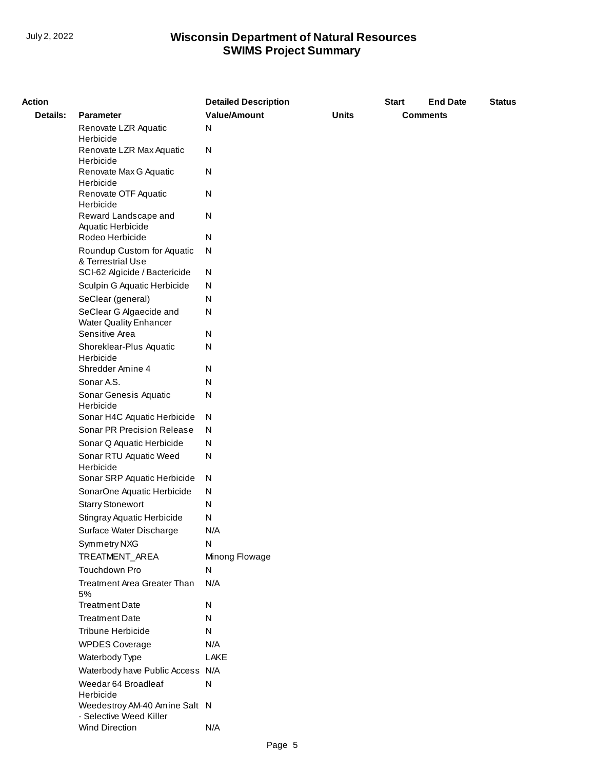| <b>Action</b>   |                                                  | <b>Detailed Description</b> |              | <b>Start</b> | <b>End Date</b> | <b>Status</b> |
|-----------------|--------------------------------------------------|-----------------------------|--------------|--------------|-----------------|---------------|
| <b>Details:</b> | <b>Parameter</b>                                 | <b>Value/Amount</b>         | <b>Units</b> |              | <b>Comments</b> |               |
|                 | Renovate LZR Aquatic                             | N                           |              |              |                 |               |
|                 | Herbicide                                        |                             |              |              |                 |               |
|                 | Renovate LZR Max Aquatic<br>Herbicide            | N                           |              |              |                 |               |
|                 | Renovate Max G Aquatic                           | N                           |              |              |                 |               |
|                 | Herbicide                                        |                             |              |              |                 |               |
|                 | Renovate OTF Aquatic                             | N                           |              |              |                 |               |
|                 | Herbicide<br>Reward Landscape and                | N                           |              |              |                 |               |
|                 | Aquatic Herbicide                                |                             |              |              |                 |               |
|                 | Rodeo Herbicide                                  | N                           |              |              |                 |               |
|                 | Roundup Custom for Aquatic                       | N                           |              |              |                 |               |
|                 | & Terrestrial Use                                |                             |              |              |                 |               |
|                 | SCI-62 Algicide / Bactericide                    | N                           |              |              |                 |               |
|                 | Sculpin G Aquatic Herbicide<br>SeClear (general) | N<br>N                      |              |              |                 |               |
|                 | SeClear G Algaecide and                          | N                           |              |              |                 |               |
|                 | <b>Water Quality Enhancer</b>                    |                             |              |              |                 |               |
|                 | Sensitive Area                                   | N                           |              |              |                 |               |
|                 | Shoreklear-Plus Aquatic                          | N                           |              |              |                 |               |
|                 | Herbicide<br>Shredder Amine 4                    |                             |              |              |                 |               |
|                 | Sonar A.S.                                       | N<br>N                      |              |              |                 |               |
|                 | Sonar Genesis Aquatic                            | N                           |              |              |                 |               |
|                 | Herbicide                                        |                             |              |              |                 |               |
|                 | Sonar H4C Aquatic Herbicide                      | N                           |              |              |                 |               |
|                 | Sonar PR Precision Release                       | N                           |              |              |                 |               |
|                 | Sonar Q Aquatic Herbicide                        | N                           |              |              |                 |               |
|                 | Sonar RTU Aquatic Weed                           | N                           |              |              |                 |               |
|                 | Herbicide<br>Sonar SRP Aquatic Herbicide         | N                           |              |              |                 |               |
|                 | SonarOne Aquatic Herbicide                       | N                           |              |              |                 |               |
|                 | <b>Starry Stonewort</b>                          | N                           |              |              |                 |               |
|                 | Stingray Aquatic Herbicide                       | N                           |              |              |                 |               |
|                 | Surface Water Discharge                          | N/A                         |              |              |                 |               |
|                 | Symmetry NXG                                     | Ν                           |              |              |                 |               |
|                 | TREATMENT_AREA                                   | Minong Flowage              |              |              |                 |               |
|                 | Touchdown Pro                                    | N                           |              |              |                 |               |
|                 | Treatment Area Greater Than                      | N/A                         |              |              |                 |               |
|                 | 5%                                               |                             |              |              |                 |               |
|                 | <b>Treatment Date</b><br><b>Treatment Date</b>   | N                           |              |              |                 |               |
|                 | Tribune Herbicide                                | N<br>N                      |              |              |                 |               |
|                 | <b>WPDES Coverage</b>                            | N/A                         |              |              |                 |               |
|                 | Waterbody Type                                   | LAKE                        |              |              |                 |               |
|                 | Waterbody have Public Access                     | N/A                         |              |              |                 |               |
|                 | Weedar 64 Broadleaf                              | N                           |              |              |                 |               |
|                 | Herbicide                                        |                             |              |              |                 |               |
|                 | Weedestroy AM-40 Amine Salt N                    |                             |              |              |                 |               |
|                 | - Selective Weed Killer<br>Wind Direction        | N/A                         |              |              |                 |               |
|                 |                                                  |                             |              |              |                 |               |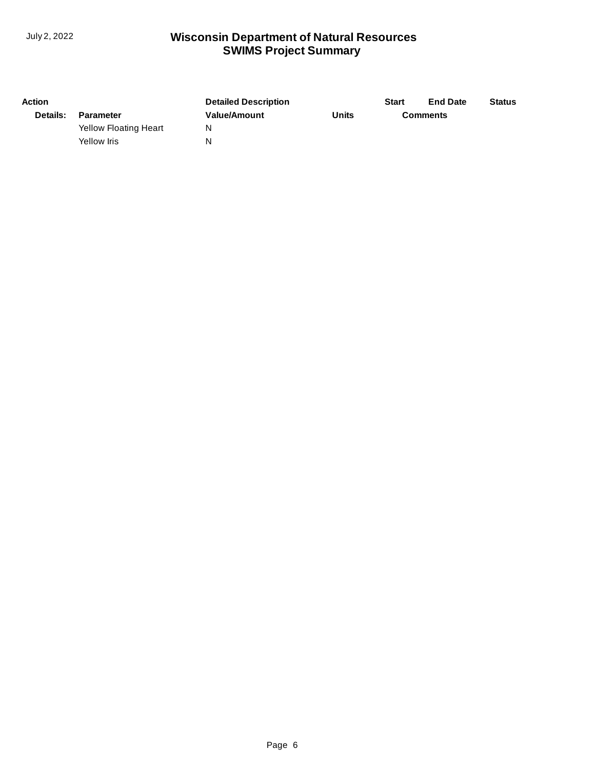| <b>Action</b> |                       | <b>Detailed Description</b> |       | <b>Start</b>    | <b>End Date</b> | <b>Status</b> |
|---------------|-----------------------|-----------------------------|-------|-----------------|-----------------|---------------|
| Details:      | Parameter             | <b>Value/Amount</b>         | Units | <b>Comments</b> |                 |               |
|               | Yellow Floating Heart | N                           |       |                 |                 |               |
|               | Yellow Iris           | N                           |       |                 |                 |               |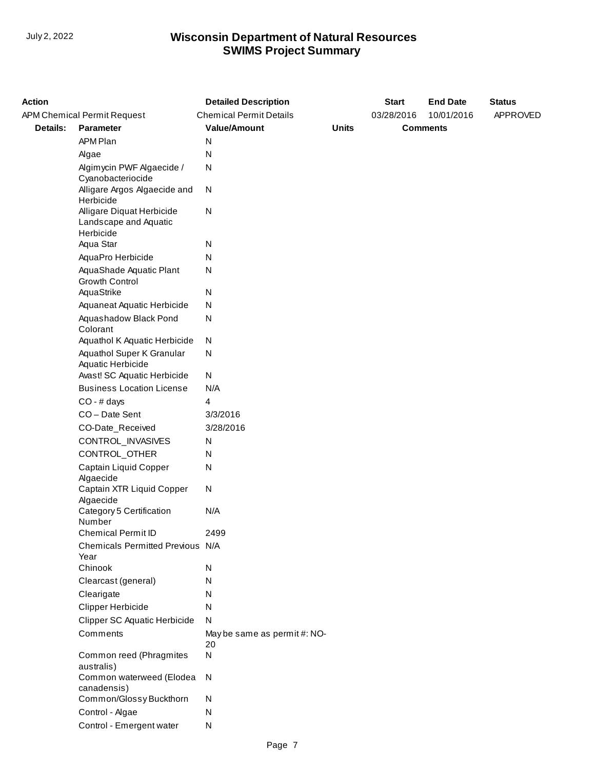| <b>Action</b> |                                                                 | <b>Detailed Description</b>        |              | <b>Start</b> | <b>End Date</b> | <b>Status</b> |
|---------------|-----------------------------------------------------------------|------------------------------------|--------------|--------------|-----------------|---------------|
|               | APM Chemical Permit Request                                     | <b>Chemical Permit Details</b>     |              | 03/28/2016   | 10/01/2016      | APPROVED      |
| Details:      | Parameter                                                       | <b>Value/Amount</b>                | <b>Units</b> |              | <b>Comments</b> |               |
|               | APM Plan                                                        | N                                  |              |              |                 |               |
|               | Algae                                                           | N                                  |              |              |                 |               |
|               | Algimycin PWF Algaecide /<br>Cyanobacteriocide                  | N                                  |              |              |                 |               |
|               | Alligare Argos Algaecide and<br>Herbicide                       | N                                  |              |              |                 |               |
|               | Alligare Diquat Herbicide<br>Landscape and Aquatic<br>Herbicide | N                                  |              |              |                 |               |
|               | Aqua Star                                                       | N                                  |              |              |                 |               |
|               | AquaPro Herbicide                                               | N                                  |              |              |                 |               |
|               | AquaShade Aquatic Plant<br><b>Growth Control</b>                | N                                  |              |              |                 |               |
|               | AquaStrike                                                      | N                                  |              |              |                 |               |
|               | Aquaneat Aquatic Herbicide                                      | N                                  |              |              |                 |               |
|               | Aquashadow Black Pond<br>Colorant                               | N                                  |              |              |                 |               |
|               | Aquathol K Aquatic Herbicide                                    | N                                  |              |              |                 |               |
|               | Aquathol Super K Granular<br>Aquatic Herbicide                  | N                                  |              |              |                 |               |
|               | Avast! SC Aquatic Herbicide                                     | ${\sf N}$                          |              |              |                 |               |
|               | <b>Business Location License</b>                                | N/A                                |              |              |                 |               |
|               | $CO - #$ days                                                   | 4                                  |              |              |                 |               |
|               | CO-Date Sent                                                    | 3/3/2016                           |              |              |                 |               |
|               | CO-Date_Received                                                | 3/28/2016                          |              |              |                 |               |
|               | CONTROL_INVASIVES                                               | N                                  |              |              |                 |               |
|               | CONTROL_OTHER                                                   | N                                  |              |              |                 |               |
|               | Captain Liquid Copper<br>Algaecide                              | N                                  |              |              |                 |               |
|               | Captain XTR Liquid Copper<br>Algaecide                          | ${\sf N}$                          |              |              |                 |               |
|               | Category 5 Certification<br>Number                              | N/A                                |              |              |                 |               |
|               | Chemical Permit ID                                              | 2499                               |              |              |                 |               |
|               | Chemicals Permitted Previous N/A<br>Year                        |                                    |              |              |                 |               |
|               | Chinook                                                         | N                                  |              |              |                 |               |
|               | Clearcast (general)                                             | N                                  |              |              |                 |               |
|               | Clearigate                                                      | N                                  |              |              |                 |               |
|               | Clipper Herbicide                                               | N                                  |              |              |                 |               |
|               | <b>Clipper SC Aquatic Herbicide</b>                             | N                                  |              |              |                 |               |
|               | Comments                                                        | May be same as permit #: NO-<br>20 |              |              |                 |               |
|               | Common reed (Phragmites<br>australis)                           | $\mathsf{N}$                       |              |              |                 |               |
|               | Common waterweed (Elodea<br>canadensis)                         | N                                  |              |              |                 |               |
|               | Common/Glossy Buckthorn                                         | N                                  |              |              |                 |               |
|               | Control - Algae                                                 | N                                  |              |              |                 |               |
|               | Control - Emergent water                                        | N                                  |              |              |                 |               |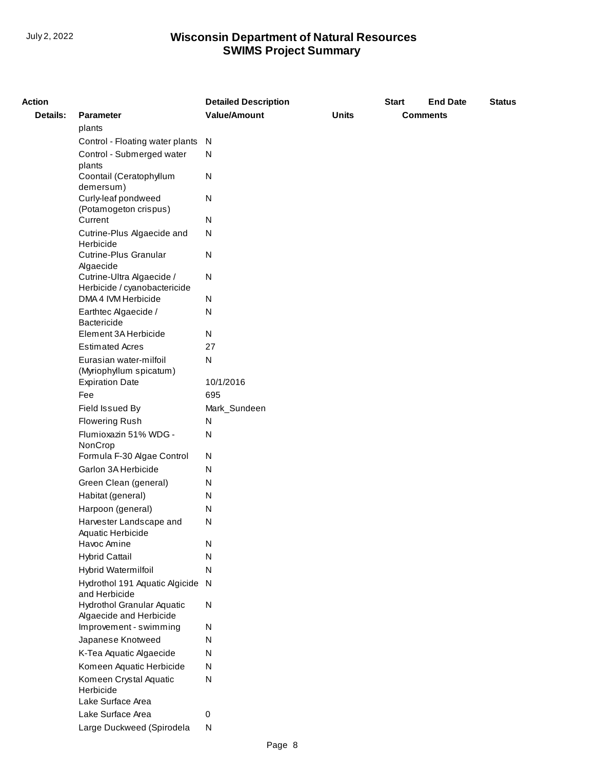| <b>Action</b> |                                                     | <b>Detailed Description</b> |              | <b>Start</b> | <b>End Date</b> | <b>Status</b> |
|---------------|-----------------------------------------------------|-----------------------------|--------------|--------------|-----------------|---------------|
| Details:      | <b>Parameter</b>                                    | <b>Value/Amount</b>         | <b>Units</b> |              | <b>Comments</b> |               |
|               | plants                                              |                             |              |              |                 |               |
|               | Control - Floating water plants                     | N                           |              |              |                 |               |
|               | Control - Submerged water                           | N                           |              |              |                 |               |
|               | plants                                              |                             |              |              |                 |               |
|               | Coontail (Ceratophyllum                             | N                           |              |              |                 |               |
|               | demersum)                                           |                             |              |              |                 |               |
|               | Curly-leaf pondweed<br>(Potamogeton crispus)        | N                           |              |              |                 |               |
|               | Current                                             | N                           |              |              |                 |               |
|               | Cutrine-Plus Algaecide and                          | N                           |              |              |                 |               |
|               | Herbicide                                           |                             |              |              |                 |               |
|               | Cutrine-Plus Granular                               | N                           |              |              |                 |               |
|               | Algaecide                                           |                             |              |              |                 |               |
|               | Cutrine-Ultra Algaecide /                           | N                           |              |              |                 |               |
|               | Herbicide / cyanobactericide<br>DMA 4 IVM Herbicide | N                           |              |              |                 |               |
|               | Earthtec Algaecide /                                | ${\sf N}$                   |              |              |                 |               |
|               | <b>Bactericide</b>                                  |                             |              |              |                 |               |
|               | Element 3A Herbicide                                | N                           |              |              |                 |               |
|               | <b>Estimated Acres</b>                              | 27                          |              |              |                 |               |
|               | Eurasian water-milfoil                              | N                           |              |              |                 |               |
|               | (Myriophyllum spicatum)                             |                             |              |              |                 |               |
|               | <b>Expiration Date</b>                              | 10/1/2016                   |              |              |                 |               |
|               | Fee                                                 | 695                         |              |              |                 |               |
|               | Field Issued By                                     | Mark_Sundeen                |              |              |                 |               |
|               | <b>Flowering Rush</b>                               | N                           |              |              |                 |               |
|               | Flumioxazin 51% WDG -                               | N                           |              |              |                 |               |
|               | NonCrop                                             |                             |              |              |                 |               |
|               | Formula F-30 Algae Control                          | N                           |              |              |                 |               |
|               | Garlon 3A Herbicide                                 | N                           |              |              |                 |               |
|               | Green Clean (general)                               | N                           |              |              |                 |               |
|               | Habitat (general)                                   | N                           |              |              |                 |               |
|               | Harpoon (general)                                   | N                           |              |              |                 |               |
|               | Harvester Landscape and<br>Aquatic Herbicide        | N                           |              |              |                 |               |
|               | Havoc Amine                                         | N                           |              |              |                 |               |
|               | <b>Hybrid Cattail</b>                               | N                           |              |              |                 |               |
|               | Hybrid Watermilfoil                                 | N                           |              |              |                 |               |
|               | Hydrothol 191 Aquatic Algicide N                    |                             |              |              |                 |               |
|               | and Herbicide                                       |                             |              |              |                 |               |
|               | Hydrothol Granular Aquatic                          | ${\sf N}$                   |              |              |                 |               |
|               | Algaecide and Herbicide                             |                             |              |              |                 |               |
|               | Improvement - swimming                              | N                           |              |              |                 |               |
|               | Japanese Knotweed                                   | ${\sf N}$                   |              |              |                 |               |
|               | K-Tea Aquatic Algaecide                             | N                           |              |              |                 |               |
|               | Komeen Aquatic Herbicide                            | ${\sf N}$                   |              |              |                 |               |
|               | Komeen Crystal Aquatic                              | ${\sf N}$                   |              |              |                 |               |
|               | Herbicide<br>Lake Surface Area                      |                             |              |              |                 |               |
|               |                                                     |                             |              |              |                 |               |
|               | Lake Surface Area                                   | 0                           |              |              |                 |               |
|               | Large Duckweed (Spirodela                           | ${\sf N}$                   |              |              |                 |               |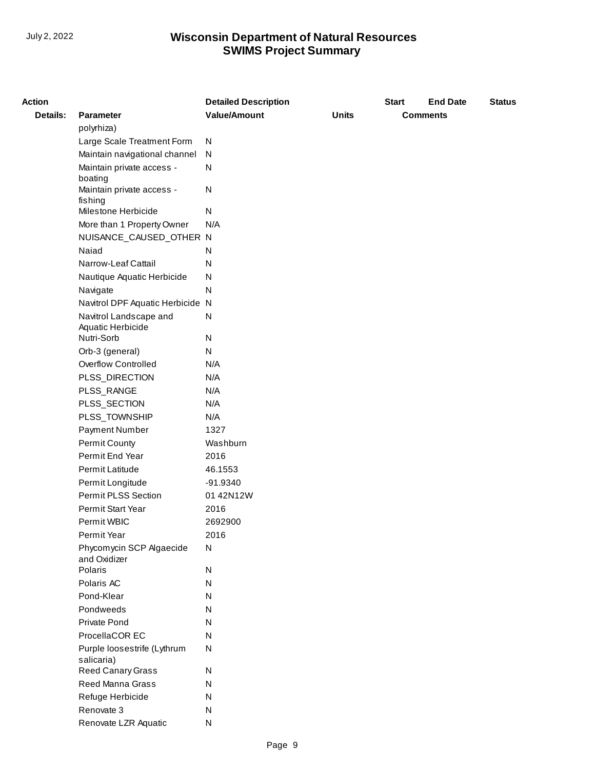| <b>Action</b>   |                                  | <b>Detailed Description</b> |              | <b>Start</b> | <b>End Date</b> | <b>Status</b> |
|-----------------|----------------------------------|-----------------------------|--------------|--------------|-----------------|---------------|
| <b>Details:</b> | <b>Parameter</b>                 | <b>Value/Amount</b>         | <b>Units</b> |              | <b>Comments</b> |               |
|                 | polyrhiza)                       |                             |              |              |                 |               |
|                 | Large Scale Treatment Form       | N                           |              |              |                 |               |
|                 | Maintain navigational channel    | N                           |              |              |                 |               |
|                 | Maintain private access -        | N                           |              |              |                 |               |
|                 | boating                          |                             |              |              |                 |               |
|                 | Maintain private access -        | N                           |              |              |                 |               |
|                 | fishing<br>Milestone Herbicide   | N                           |              |              |                 |               |
|                 | More than 1 Property Owner       | N/A                         |              |              |                 |               |
|                 | NUISANCE_CAUSED_OTHER N          |                             |              |              |                 |               |
|                 | Naiad                            | N                           |              |              |                 |               |
|                 | Narrow-Leaf Cattail              | N                           |              |              |                 |               |
|                 | Nautique Aquatic Herbicide       | N                           |              |              |                 |               |
|                 | Navigate                         | N                           |              |              |                 |               |
|                 | Navitrol DPF Aquatic Herbicide N |                             |              |              |                 |               |
|                 | Navitrol Landscape and           | N                           |              |              |                 |               |
|                 | Aquatic Herbicide                |                             |              |              |                 |               |
|                 | Nutri-Sorb                       | N                           |              |              |                 |               |
|                 | Orb-3 (general)                  | N                           |              |              |                 |               |
|                 | <b>Overflow Controlled</b>       | N/A                         |              |              |                 |               |
|                 | PLSS_DIRECTION                   | N/A                         |              |              |                 |               |
|                 | PLSS_RANGE                       | N/A                         |              |              |                 |               |
|                 | PLSS_SECTION                     | N/A                         |              |              |                 |               |
|                 | PLSS_TOWNSHIP                    | N/A                         |              |              |                 |               |
|                 | Payment Number                   | 1327                        |              |              |                 |               |
|                 | Permit County                    | Washburn                    |              |              |                 |               |
|                 | Permit End Year                  | 2016                        |              |              |                 |               |
|                 | Permit Latitude                  | 46.1553                     |              |              |                 |               |
|                 | Permit Longitude                 | -91.9340                    |              |              |                 |               |
|                 | Permit PLSS Section              | 01 42N12W                   |              |              |                 |               |
|                 | Permit Start Year                | 2016                        |              |              |                 |               |
|                 | Permit WBIC                      | 2692900                     |              |              |                 |               |
|                 | Permit Year                      | 2016                        |              |              |                 |               |
|                 | Phycomycin SCP Algaecide         | ${\sf N}$                   |              |              |                 |               |
|                 | and Oxidizer<br>Polaris          | N                           |              |              |                 |               |
|                 | Polaris AC                       | N                           |              |              |                 |               |
|                 | Pond-Klear                       | N                           |              |              |                 |               |
|                 | Pondweeds                        | N                           |              |              |                 |               |
|                 | Private Pond                     | N                           |              |              |                 |               |
|                 | ProcellaCOR EC                   | N                           |              |              |                 |               |
|                 | Purple loosestrife (Lythrum      | N                           |              |              |                 |               |
|                 | salicaria)                       |                             |              |              |                 |               |
|                 | Reed Canary Grass                | N                           |              |              |                 |               |
|                 | <b>Reed Manna Grass</b>          | N                           |              |              |                 |               |
|                 | Refuge Herbicide                 | N                           |              |              |                 |               |
|                 | Renovate 3                       | N                           |              |              |                 |               |
|                 | Renovate LZR Aquatic             | N                           |              |              |                 |               |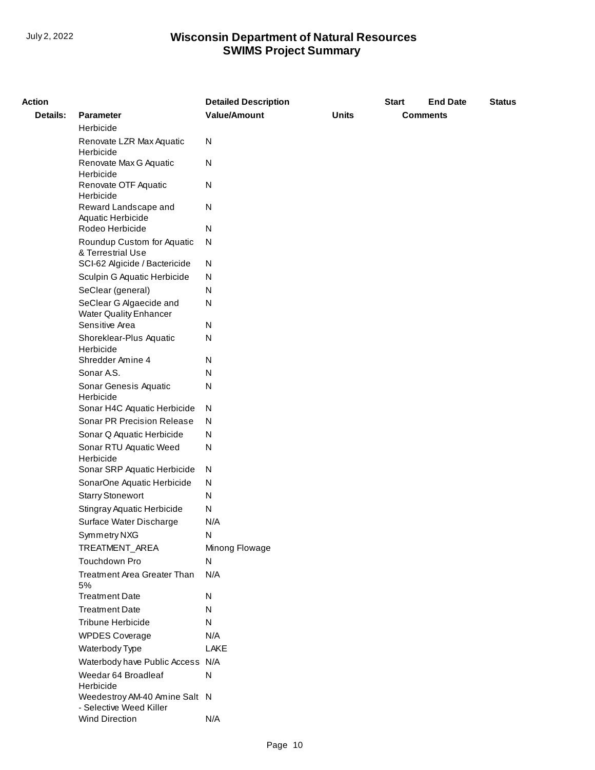| <b>Action</b> |                                                          | <b>Detailed Description</b> |              | <b>Start</b> | <b>End Date</b> | <b>Status</b> |
|---------------|----------------------------------------------------------|-----------------------------|--------------|--------------|-----------------|---------------|
| Details:      | <b>Parameter</b>                                         | <b>Value/Amount</b>         | <b>Units</b> |              | <b>Comments</b> |               |
|               | Herbicide                                                |                             |              |              |                 |               |
|               | Renovate LZR Max Aquatic<br>Herbicide                    | N                           |              |              |                 |               |
|               | Renovate Max G Aquatic<br>Herbicide                      | N                           |              |              |                 |               |
|               | Renovate OTF Aquatic<br>Herbicide                        | N                           |              |              |                 |               |
|               | Reward Landscape and<br>Aquatic Herbicide                | N                           |              |              |                 |               |
|               | Rodeo Herbicide                                          | N                           |              |              |                 |               |
|               | Roundup Custom for Aquatic<br>& Terrestrial Use          | ${\sf N}$                   |              |              |                 |               |
|               | SCI-62 Algicide / Bactericide                            | N                           |              |              |                 |               |
|               | Sculpin G Aquatic Herbicide                              | N                           |              |              |                 |               |
|               | SeClear (general)                                        | N                           |              |              |                 |               |
|               | SeClear G Algaecide and<br><b>Water Quality Enhancer</b> | N                           |              |              |                 |               |
|               | Sensitive Area                                           | N                           |              |              |                 |               |
|               | Shoreklear-Plus Aquatic<br>Herbicide                     | N                           |              |              |                 |               |
|               | Shredder Amine 4                                         | N                           |              |              |                 |               |
|               | Sonar A.S.                                               | N                           |              |              |                 |               |
|               | Sonar Genesis Aquatic<br>Herbicide                       | N                           |              |              |                 |               |
|               | Sonar H4C Aquatic Herbicide                              | N                           |              |              |                 |               |
|               | Sonar PR Precision Release                               | N                           |              |              |                 |               |
|               | Sonar Q Aquatic Herbicide                                | N                           |              |              |                 |               |
|               | Sonar RTU Aquatic Weed<br>Herbicide                      | N                           |              |              |                 |               |
|               | Sonar SRP Aquatic Herbicide                              | N                           |              |              |                 |               |
|               | SonarOne Aquatic Herbicide                               | N                           |              |              |                 |               |
|               | <b>Starry Stonewort</b>                                  | N                           |              |              |                 |               |
|               | Stingray Aquatic Herbicide                               | N                           |              |              |                 |               |
|               | Surface Water Discharge                                  | N/A                         |              |              |                 |               |
|               | Symmetry NXG                                             | N                           |              |              |                 |               |
|               | TREATMENT_AREA                                           | Minong Flowage              |              |              |                 |               |
|               | Touchdown Pro                                            | N                           |              |              |                 |               |
|               | <b>Treatment Area Greater Than</b><br>5%                 | N/A                         |              |              |                 |               |
|               | <b>Treatment Date</b>                                    | N                           |              |              |                 |               |
|               | <b>Treatment Date</b>                                    | N                           |              |              |                 |               |
|               | Tribune Herbicide                                        | N                           |              |              |                 |               |
|               | <b>WPDES Coverage</b>                                    | N/A                         |              |              |                 |               |
|               | Waterbody Type                                           | LAKE                        |              |              |                 |               |
|               | Waterbody have Public Access N/A                         |                             |              |              |                 |               |
|               | Weedar 64 Broadleaf<br>Herbicide                         | N                           |              |              |                 |               |
|               | Weedestroy AM-40 Amine Salt N<br>- Selective Weed Killer |                             |              |              |                 |               |
|               | Wind Direction                                           | N/A                         |              |              |                 |               |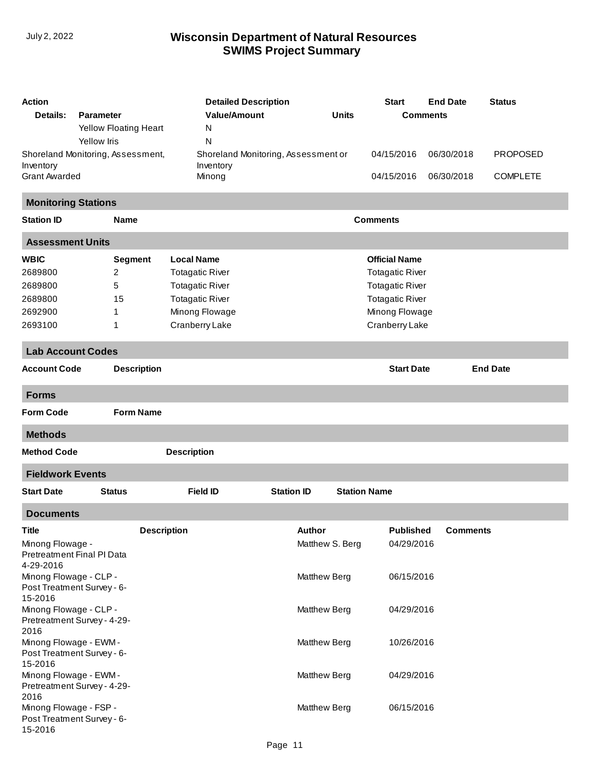| Action                                               |                    |                       | <b>Detailed Description</b>         |                   |                     |              | <b>Start</b>           | <b>End Date</b> | <b>Status</b>   |
|------------------------------------------------------|--------------------|-----------------------|-------------------------------------|-------------------|---------------------|--------------|------------------------|-----------------|-----------------|
| Details:                                             | <b>Parameter</b>   |                       | <b>Value/Amount</b>                 |                   |                     | <b>Units</b> |                        | <b>Comments</b> |                 |
|                                                      |                    | Yellow Floating Heart | N                                   |                   |                     |              |                        |                 |                 |
|                                                      | <b>Yellow Iris</b> |                       | $\mathsf{N}$                        |                   |                     |              |                        |                 |                 |
| Shoreland Monitoring, Assessment,                    |                    |                       | Shoreland Monitoring, Assessment or |                   |                     |              | 04/15/2016             | 06/30/2018      | <b>PROPOSED</b> |
| Inventory<br><b>Grant Awarded</b>                    |                    |                       | Inventory<br>Minong                 |                   |                     |              | 04/15/2016             | 06/30/2018      | <b>COMPLETE</b> |
|                                                      |                    |                       |                                     |                   |                     |              |                        |                 |                 |
| <b>Monitoring Stations</b>                           |                    |                       |                                     |                   |                     |              |                        |                 |                 |
| <b>Station ID</b>                                    |                    | <b>Name</b>           |                                     |                   |                     |              | <b>Comments</b>        |                 |                 |
| <b>Assessment Units</b>                              |                    |                       |                                     |                   |                     |              |                        |                 |                 |
| <b>WBIC</b>                                          |                    | <b>Segment</b>        | <b>Local Name</b>                   |                   |                     |              | <b>Official Name</b>   |                 |                 |
| 2689800                                              |                    | $\overline{2}$        | <b>Totagatic River</b>              |                   |                     |              | <b>Totagatic River</b> |                 |                 |
| 2689800                                              |                    | 5                     | <b>Totagatic River</b>              |                   |                     |              | <b>Totagatic River</b> |                 |                 |
| 2689800                                              |                    | 15                    | <b>Totagatic River</b>              |                   |                     |              | <b>Totagatic River</b> |                 |                 |
| 2692900                                              |                    | 1                     | Minong Flowage                      |                   |                     |              | Minong Flowage         |                 |                 |
| 2693100                                              |                    | 1                     | Cranberry Lake                      |                   |                     |              | Cranberry Lake         |                 |                 |
| <b>Lab Account Codes</b>                             |                    |                       |                                     |                   |                     |              |                        |                 |                 |
| <b>Account Code</b>                                  |                    | <b>Description</b>    |                                     |                   |                     |              | <b>Start Date</b>      |                 | <b>End Date</b> |
| <b>Forms</b>                                         |                    |                       |                                     |                   |                     |              |                        |                 |                 |
| <b>Form Code</b>                                     |                    | <b>Form Name</b>      |                                     |                   |                     |              |                        |                 |                 |
| <b>Methods</b>                                       |                    |                       |                                     |                   |                     |              |                        |                 |                 |
| <b>Method Code</b>                                   |                    |                       | <b>Description</b>                  |                   |                     |              |                        |                 |                 |
| <b>Fieldwork Events</b>                              |                    |                       |                                     |                   |                     |              |                        |                 |                 |
| <b>Start Date</b>                                    |                    | <b>Status</b>         | <b>Field ID</b>                     | <b>Station ID</b> |                     |              | <b>Station Name</b>    |                 |                 |
| <b>Documents</b>                                     |                    |                       |                                     |                   |                     |              |                        |                 |                 |
| Title                                                |                    | <b>Description</b>    |                                     |                   | <b>Author</b>       |              | <b>Published</b>       | Comments        |                 |
| Minong Flowage -                                     |                    |                       |                                     |                   | Matthew S. Berg     |              | 04/29/2016             |                 |                 |
| Pretreatment Final PI Data                           |                    |                       |                                     |                   |                     |              |                        |                 |                 |
| 4-29-2016                                            |                    |                       |                                     |                   |                     |              |                        |                 |                 |
| Minong Flowage - CLP -<br>Post Treatment Survey - 6- |                    |                       |                                     |                   | Matthew Berg        |              | 06/15/2016             |                 |                 |
| 15-2016                                              |                    |                       |                                     |                   |                     |              |                        |                 |                 |
| Minong Flowage - CLP -                               |                    |                       |                                     |                   | <b>Matthew Berg</b> |              | 04/29/2016             |                 |                 |
| Pretreatment Survey - 4-29-                          |                    |                       |                                     |                   |                     |              |                        |                 |                 |
| 2016                                                 |                    |                       |                                     |                   |                     |              |                        |                 |                 |
| Minong Flowage - EWM -<br>Post Treatment Survey - 6- |                    |                       |                                     |                   | <b>Matthew Berg</b> |              | 10/26/2016             |                 |                 |
| 15-2016                                              |                    |                       |                                     |                   |                     |              |                        |                 |                 |
| Minong Flowage - EWM-                                |                    |                       |                                     |                   | <b>Matthew Berg</b> |              | 04/29/2016             |                 |                 |
| Pretreatment Survey - 4-29-                          |                    |                       |                                     |                   |                     |              |                        |                 |                 |
| 2016                                                 |                    |                       |                                     |                   |                     |              |                        |                 |                 |
| Minong Flowage - FSP -<br>Post Treatment Survey - 6- |                    |                       |                                     |                   | Matthew Berg        |              | 06/15/2016             |                 |                 |
| 15-2016                                              |                    |                       |                                     |                   |                     |              |                        |                 |                 |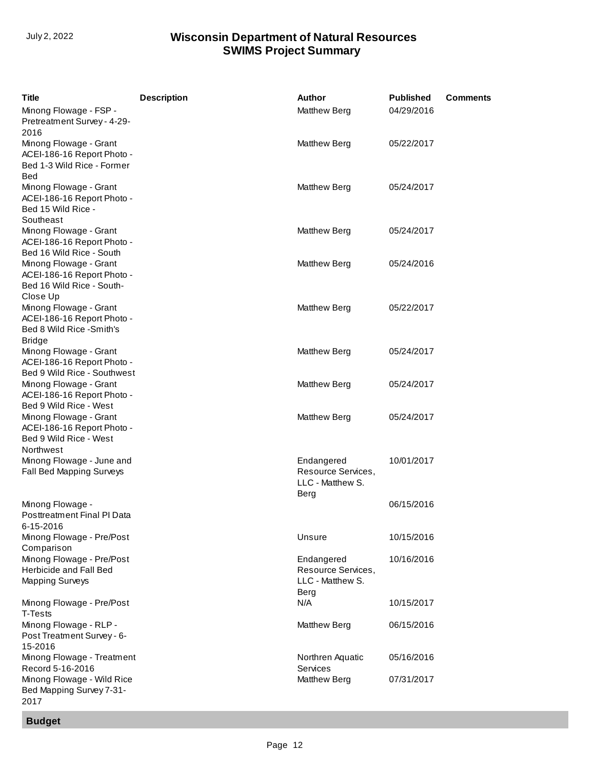| <b>Title</b>                                                                                             | <b>Description</b> | Author                                                       | <b>Published</b> | <b>Comments</b> |
|----------------------------------------------------------------------------------------------------------|--------------------|--------------------------------------------------------------|------------------|-----------------|
| Minong Flowage - FSP -<br>Pretreatment Survey - 4-29-                                                    |                    | Matthew Berg                                                 | 04/29/2016       |                 |
| 2016<br>Minong Flowage - Grant<br>ACEI-186-16 Report Photo -<br>Bed 1-3 Wild Rice - Former<br><b>Bed</b> |                    | Matthew Berg                                                 | 05/22/2017       |                 |
| Minong Flowage - Grant<br>ACEI-186-16 Report Photo -<br>Bed 15 Wild Rice -                               |                    | <b>Matthew Berg</b>                                          | 05/24/2017       |                 |
| Southeast<br>Minong Flowage - Grant<br>ACEI-186-16 Report Photo -<br>Bed 16 Wild Rice - South            |                    | <b>Matthew Berg</b>                                          | 05/24/2017       |                 |
| Minong Flowage - Grant<br>ACEI-186-16 Report Photo -<br>Bed 16 Wild Rice - South-                        |                    | <b>Matthew Berg</b>                                          | 05/24/2016       |                 |
| Close Up<br>Minong Flowage - Grant<br>ACEI-186-16 Report Photo -<br>Bed 8 Wild Rice -Smith's             |                    | <b>Matthew Berg</b>                                          | 05/22/2017       |                 |
| <b>Bridge</b><br>Minong Flowage - Grant<br>ACEI-186-16 Report Photo -<br>Bed 9 Wild Rice - Southwest     |                    | Matthew Berg                                                 | 05/24/2017       |                 |
| Minong Flowage - Grant<br>ACEI-186-16 Report Photo -<br>Bed 9 Wild Rice - West                           |                    | <b>Matthew Berg</b>                                          | 05/24/2017       |                 |
| Minong Flowage - Grant<br>ACEI-186-16 Report Photo -<br>Bed 9 Wild Rice - West<br>Northwest              |                    | <b>Matthew Berg</b>                                          | 05/24/2017       |                 |
| Minong Flowage - June and<br>Fall Bed Mapping Surveys                                                    |                    | Endangered<br>Resource Services,<br>LLC - Matthew S.<br>Berg | 10/01/2017       |                 |
| Minong Flowage -<br>Posttreatment Final PI Data<br>6-15-2016                                             |                    |                                                              | 06/15/2016       |                 |
| Minong Flowage - Pre/Post<br>Comparison                                                                  |                    | Unsure                                                       | 10/15/2016       |                 |
| Minong Flowage - Pre/Post<br>Herbicide and Fall Bed<br><b>Mapping Surveys</b>                            |                    | Endangered<br>Resource Services,<br>LLC - Matthew S.<br>Berg | 10/16/2016       |                 |
| Minong Flowage - Pre/Post<br>T-Tests                                                                     |                    | N/A                                                          | 10/15/2017       |                 |
| Minong Flowage - RLP -<br>Post Treatment Survey - 6-<br>15-2016                                          |                    | <b>Matthew Berg</b>                                          | 06/15/2016       |                 |
| Minong Flowage - Treatment<br>Record 5-16-2016                                                           |                    | Northren Aquatic<br>Services                                 | 05/16/2016       |                 |
| Minong Flowage - Wild Rice<br>Bed Mapping Survey 7-31-<br>2017                                           |                    | <b>Matthew Berg</b>                                          | 07/31/2017       |                 |

**Budget**